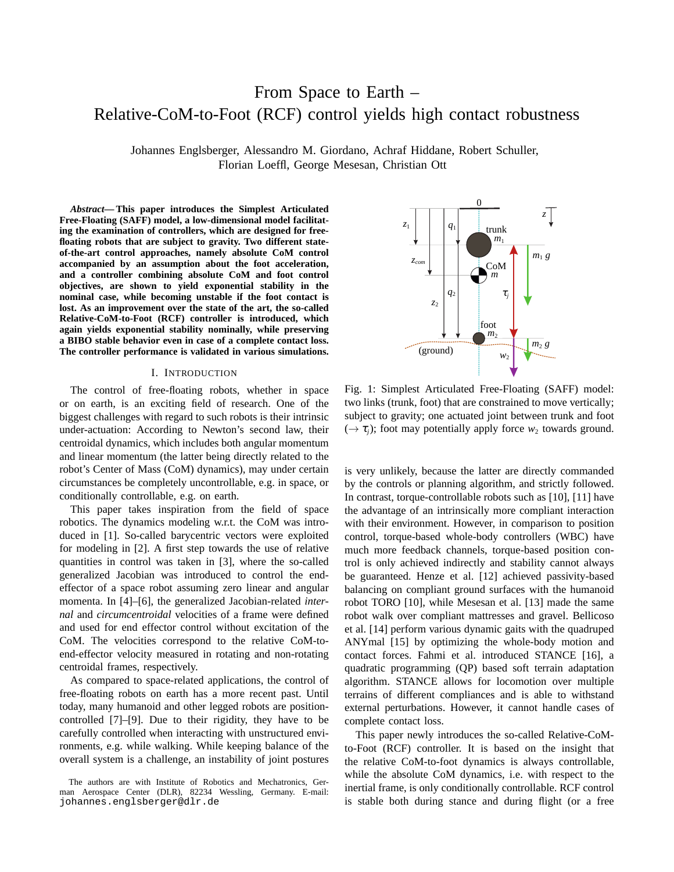# From Space to Earth – Relative-CoM-to-Foot (RCF) control yields high contact robustness

Johannes Englsberger, Alessandro M. Giordano, Achraf Hiddane, Robert Schuller, Florian Loeffl, George Mesesan, Christian Ott

*Abstract***— This paper introduces the Simplest Articulated Free-Floating (SAFF) model, a low-dimensional model facilitating the examination of controllers, which are designed for freefloating robots that are subject to gravity. Two different stateof-the-art control approaches, namely absolute CoM control accompanied by an assumption about the foot acceleration, and a controller combining absolute CoM and foot control objectives, are shown to yield exponential stability in the nominal case, while becoming unstable if the foot contact is lost. As an improvement over the state of the art, the so-called Relative-CoM-to-Foot (RCF) controller is introduced, which again yields exponential stability nominally, while preserving a BIBO stable behavior even in case of a complete contact loss. The controller performance is validated in various simulations.**

## I. INTRODUCTION

The control of free-floating robots, whether in space or on earth, is an exciting field of research. One of the biggest challenges with regard to such robots is their intrinsic under-actuation: According to Newton's second law, their centroidal dynamics, which includes both angular momentum and linear momentum (the latter being directly related to the robot's Center of Mass (CoM) dynamics), may under certain circumstances be completely uncontrollable, e.g. in space, or conditionally controllable, e.g. on earth.

This paper takes inspiration from the field of space robotics. The dynamics modeling w.r.t. the CoM was introduced in [1]. So-called barycentric vectors were exploited for modeling in [2]. A first step towards the use of relative quantities in control was taken in [3], where the so-called generalized Jacobian was introduced to control the endeffector of a space robot assuming zero linear and angular momenta. In [4]–[6], the generalized Jacobian-related *internal* and *circumcentroidal* velocities of a frame were defined and used for end effector control without excitation of the CoM. The velocities correspond to the relative CoM-toend-effector velocity measured in rotating and non-rotating centroidal frames, respectively.

As compared to space-related applications, the control of free-floating robots on earth has a more recent past. Until today, many humanoid and other legged robots are positioncontrolled [7]–[9]. Due to their rigidity, they have to be carefully controlled when interacting with unstructured environments, e.g. while walking. While keeping balance of the overall system is a challenge, an instability of joint postures

<span id="page-0-0"></span>

Fig. 1: Simplest Articulated Free-Floating (SAFF) model: two links (trunk, foot) that are constrained to move vertically; subject to gravity; one actuated joint between trunk and foot  $(\rightarrow \tau_i)$ ; foot may potentially apply force  $w_2$  towards ground.

is very unlikely, because the latter are directly commanded by the controls or planning algorithm, and strictly followed. In contrast, torque-controllable robots such as [10], [11] have the advantage of an intrinsically more compliant interaction with their environment. However, in comparison to position control, torque-based whole-body controllers (WBC) have much more feedback channels, torque-based position control is only achieved indirectly and stability cannot always be guaranteed. Henze et al. [12] achieved passivity-based balancing on compliant ground surfaces with the humanoid robot TORO [10], while Mesesan et al. [13] made the same robot walk over compliant mattresses and gravel. Bellicoso et al. [14] perform various dynamic gaits with the quadruped ANYmal [15] by optimizing the whole-body motion and contact forces. Fahmi et al. introduced STANCE [16], a quadratic programming (QP) based soft terrain adaptation algorithm. STANCE allows for locomotion over multiple terrains of different compliances and is able to withstand external perturbations. However, it cannot handle cases of complete contact loss.

This paper newly introduces the so-called Relative-CoMto-Foot (RCF) controller. It is based on the insight that the relative CoM-to-foot dynamics is always controllable, while the absolute CoM dynamics, i.e. with respect to the inertial frame, is only conditionally controllable. RCF control is stable both during stance and during flight (or a free

The authors are with Institute of Robotics and Mechatronics, German Aerospace Center (DLR), 82234 Wessling, Germany. E-mail: johannes.englsberger@dlr.de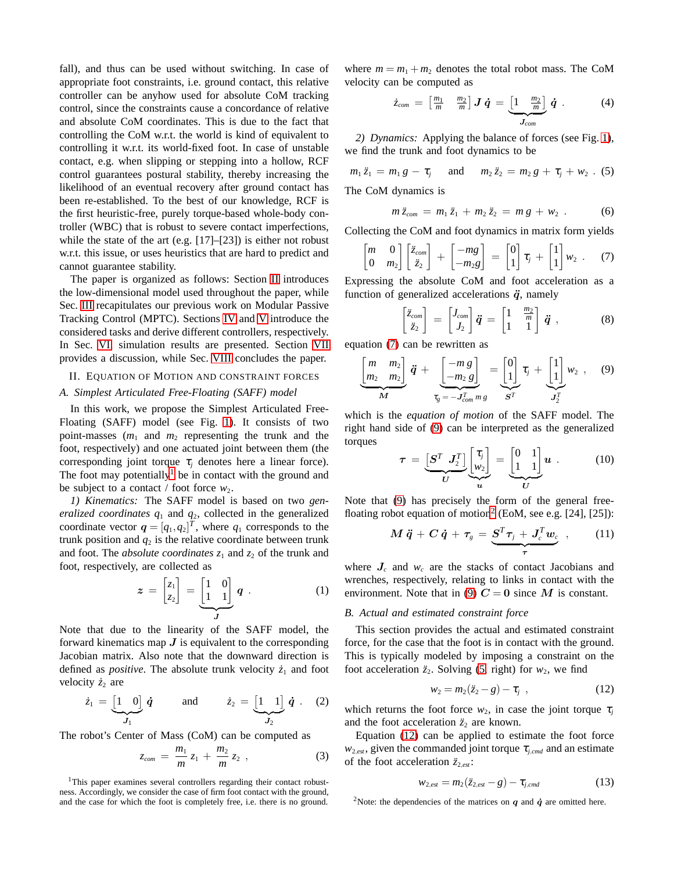fall), and thus can be used without switching. In case of appropriate foot constraints, i.e. ground contact, this relative controller can be anyhow used for absolute CoM tracking control, since the constraints cause a concordance of relative and absolute CoM coordinates. This is due to the fact that controlling the CoM w.r.t. the world is kind of equivalent to controlling it w.r.t. its world-fixed foot. In case of unstable contact, e.g. when slipping or stepping into a hollow, RCF control guarantees postural stability, thereby increasing the likelihood of an eventual recovery after ground contact has been re-established. To the best of our knowledge, RCF is the first heuristic-free, purely torque-based whole-body controller (WBC) that is robust to severe contact imperfections, while the state of the art (e.g. [17]–[23]) is either not robust w.r.t. this issue, or uses heuristics that are hard to predict and cannot guarantee stability.

The paper is organized as follows: Section [II](#page-1-0) introduces the low-dimensional model used throughout the paper, while Sec. [III](#page-2-0) recapitulates our previous work on Modular Passive Tracking Control (MPTC). Sections [IV](#page-2-1) and [V](#page-3-0) introduce the considered tasks and derive different controllers, respectively. In Sec. [VI,](#page-6-0) simulation results are presented. Section [VII](#page-6-1) provides a discussion, while Sec. [VIII](#page-6-2) concludes the paper.

# <span id="page-1-0"></span>II. EQUATION OF MOTION AND CONSTRAINT FORCES

# *A. Simplest Articulated Free-Floating (SAFF) model*

In this work, we propose the Simplest Articulated Free-Floating (SAFF) model (see Fig. [1\)](#page-0-0). It consists of two point-masses  $(m_1 \text{ and } m_2 \text{ representing the trunk and the$ foot, respectively) and one actuated joint between them (the corresponding joint torque  $\tau_i$  denotes here a linear force). The foot may potentially<sup>[1](#page-1-1)</sup> be in contact with the ground and be subject to a contact / foot force  $w_2$ .

*1) Kinematics:* The SAFF model is based on two *generalized coordinates*  $q_1$  and  $q_2$ , collected in the generalized coordinate vector  $q = [q_1, q_2]^T$ , where  $q_1$  corresponds to the trunk position and  $q_2$  is the relative coordinate between trunk and foot. The *absolute coordinates*  $z_1$  and  $z_2$  of the trunk and foot, respectively, are collected as

$$
z = \begin{bmatrix} z_1 \\ z_2 \end{bmatrix} = \underbrace{\begin{bmatrix} 1 & 0 \\ 1 & 1 \end{bmatrix}}_{J} q . \qquad (1)
$$

Note that due to the linearity of the SAFF model, the forward kinematics map  $J$  is equivalent to the corresponding Jacobian matrix. Also note that the downward direction is defined as *positive*. The absolute trunk velocity  $\dot{z}_1$  and foot velocity  $\dot{z}_2$  are

$$
\dot{z}_1 = \underbrace{\begin{bmatrix} 1 & 0 \end{bmatrix}}_{J_1} \dot{q} \quad \text{and} \quad \dot{z}_2 = \underbrace{\begin{bmatrix} 1 & 1 \end{bmatrix}}_{J_2} \dot{q} \quad (2)
$$

The robot's Center of Mass (CoM) can be computed as

$$
z_{com} = \frac{m_1}{m} z_1 + \frac{m_2}{m} z_2 , \qquad (3)
$$

<span id="page-1-1"></span><sup>1</sup>This paper examines several controllers regarding their contact robustness. Accordingly, we consider the case of firm foot contact with the ground, and the case for which the foot is completely free, i.e. there is no ground.

where  $m = m_1 + m_2$  denotes the total robot mass. The CoM velocity can be computed as

$$
\dot{z}_{com} = \begin{bmatrix} \frac{m_1}{m} & \frac{m_2}{m} \end{bmatrix} \mathbf{J} \dot{\mathbf{q}} = \underbrace{\begin{bmatrix} 1 & \frac{m_2}{m} \end{bmatrix}}_{\mathbf{J}_{com}} \dot{\mathbf{q}} \tag{4}
$$

*2) Dynamics:* Applying the balance of forces (see Fig. [1\)](#page-0-0), we find the trunk and foot dynamics to be

<span id="page-1-5"></span>
$$
m_1 \ddot{z}_1 = m_1 g - \tau_j \quad \text{and} \quad m_2 \ddot{z}_2 = m_2 g + \tau_j + w_2 . (5)
$$
  
The CoM dynamics is

<span id="page-1-9"></span>
$$
m\ddot{z}_{com} = m_1\ddot{z}_1 + m_2\ddot{z}_2 = m\,g + w_2\ .\qquad (6)
$$

Collecting the CoM and foot dynamics in matrix form yields

<span id="page-1-2"></span>
$$
\begin{bmatrix} m & 0 \\ 0 & m_2 \end{bmatrix} \begin{bmatrix} \ddot{z}_{com} \\ \ddot{z}_2 \end{bmatrix} + \begin{bmatrix} -mg \\ -m_2g \end{bmatrix} = \begin{bmatrix} 0 \\ 1 \end{bmatrix} \tau_j + \begin{bmatrix} 1 \\ 1 \end{bmatrix} w_2 . \quad (7)
$$

Expressing the absolute CoM and foot acceleration as a function of generalized accelerations  $\ddot{q}$ , namely

$$
\begin{bmatrix} \ddot{z}_{com} \\ \ddot{z}_2 \end{bmatrix} = \begin{bmatrix} J_{com} \\ J_2 \end{bmatrix} \ddot{q} = \begin{bmatrix} 1 & \frac{m_2}{m} \\ 1 & 1 \end{bmatrix} \ddot{q} , \qquad (8)
$$

equation [\(7\)](#page-1-2) can be rewritten as

<span id="page-1-3"></span>
$$
\underbrace{\begin{bmatrix} m & m_2 \\ m_2 & m_2 \end{bmatrix}}_{M} \ddot{\mathbf{q}} + \underbrace{\begin{bmatrix} -m g \\ -m_2 g \end{bmatrix}}_{\tau_g = -J_{com}^T m g} = \underbrace{\begin{bmatrix} 0 \\ 1 \end{bmatrix}}_{S^T} \tau_j + \underbrace{\begin{bmatrix} 1 \\ 1 \end{bmatrix}}_{J_2^T} w_2 , \quad (9)
$$

which is the *equation of motion* of the SAFF model. The right hand side of [\(9\)](#page-1-3) can be interpreted as the generalized torques

<span id="page-1-7"></span>
$$
\tau = \underbrace{\begin{bmatrix} S^T & J_2^T \end{bmatrix}}_{U} \underbrace{\begin{bmatrix} \tau_j \\ w_2 \end{bmatrix}}_{u} = \underbrace{\begin{bmatrix} 0 & 1 \\ 1 & 1 \end{bmatrix}}_{U} u . \qquad (10)
$$

Note that [\(9\)](#page-1-3) has precisely the form of the general free-floating robot equation of motion<sup>[2](#page-1-4)</sup> (EoM, see e.g. [24], [25]):

$$
M\ddot{q} + C\dot{q} + \tau_s = \underbrace{S^T \tau_j + J_c^T w_c}_{\tau}, \qquad (11)
$$

where  $J_c$  and  $w_c$  are the stacks of contact Jacobians and wrenches, respectively, relating to links in contact with the environment. Note that in [\(9\)](#page-1-3)  $C = 0$  since M is constant.

## *B. Actual and estimated constraint force*

This section provides the actual and estimated constraint force, for the case that the foot is in contact with the ground. This is typically modeled by imposing a constraint on the foot acceleration  $\ddot{z}_2$ . Solving [\(5,](#page-1-5) right) for  $w_2$ , we find

<span id="page-1-6"></span>
$$
w_2 = m_2(\ddot{z}_2 - g) - \tau_j \quad , \tag{12}
$$

which returns the foot force  $w_2$ , in case the joint torque  $\tau_i$ and the foot acceleration  $\ddot{z}_2$  are known.

Equation [\(12\)](#page-1-6) can be applied to estimate the foot force  $w_{2,est}$ , given the commanded joint torque  $\tau_{j,cmd}$  and an estimate of the foot acceleration  $\ddot{z}_{2,est}$ :

<span id="page-1-8"></span>
$$
w_{2,est} = m_2(\ddot{z}_{2,est} - g) - \tau_{j,cmd}
$$
 (13)

<span id="page-1-4"></span><sup>2</sup>Note: the dependencies of the matrices on  $q$  and  $\dot{q}$  are omitted here.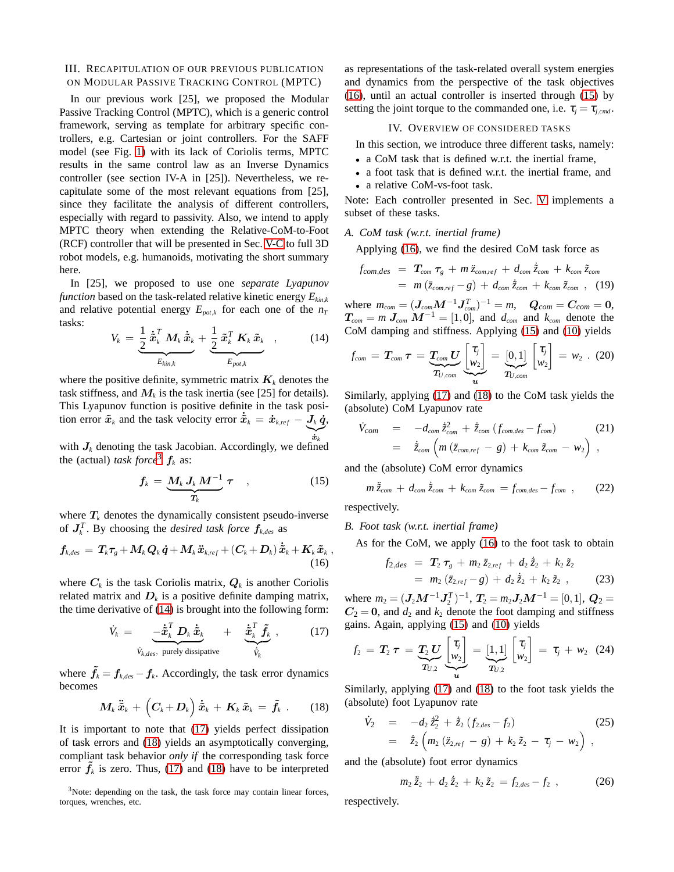## <span id="page-2-0"></span>III. RECAPITULATION OF OUR PREVIOUS PUBLICATION ON MODULAR PASSIVE TRACKING CONTROL (MPTC)

In our previous work [25], we proposed the Modular Passive Tracking Control (MPTC), which is a generic control framework, serving as template for arbitrary specific controllers, e.g. Cartesian or joint controllers. For the SAFF model (see Fig. [1\)](#page-0-0) with its lack of Coriolis terms, MPTC results in the same control law as an Inverse Dynamics controller (see section IV-A in [25]). Nevertheless, we recapitulate some of the most relevant equations from [25], since they facilitate the analysis of different controllers, especially with regard to passivity. Also, we intend to apply MPTC theory when extending the Relative-CoM-to-Foot (RCF) controller that will be presented in Sec. [V-C](#page-5-0) to full 3D robot models, e.g. humanoids, motivating the short summary here.

In [25], we proposed to use one *separate Lyapunov function* based on the task-related relative kinetic energy *Ekin*,*<sup>k</sup>* and relative potential energy  $E_{pot,k}$  for each one of the  $n_T$ tasks:

<span id="page-2-3"></span>
$$
V_k = \underbrace{\frac{1}{2} \, \dot{\tilde{\boldsymbol{x}}}_k^T \, \boldsymbol{M}_k \, \dot{\tilde{\boldsymbol{x}}}_k}_{E_{kin,k}} + \underbrace{\frac{1}{2} \, \tilde{\boldsymbol{x}}_k^T \, \boldsymbol{K}_k \, \tilde{\boldsymbol{x}}_k}_{E_{pot,k}} \quad , \tag{14}
$$

where the positive definite, symmetric matrix  $K_k$  denotes the task stiffness, and  $M_k$  is the task inertia (see [25] for details). This Lyapunov function is positive definite in the task position error  $\tilde{x}_k$  and the task velocity error  $\dot{\tilde{x}}_k = \dot{x}_{k,ref} - \frac{J_k}{J_k} \dot{q}$ ,  $\sum_{\dot{x}}$  $\boldsymbol{\dot{x}}_k$ 

with  $J_k$  denoting the task Jacobian. Accordingly, we defined the (actual) *task force*<sup>[3](#page-2-2)</sup>  $f_k$  as:

<span id="page-2-7"></span>
$$
f_k = \underbrace{M_k J_k M^{-1}}_{T_k} \tau \quad , \tag{15}
$$

where  $T_k$  denotes the dynamically consistent pseudo-inverse of  $J_k^T$ . By choosing the *desired task force*  $f_{k,des}$  as

<span id="page-2-6"></span>
$$
f_{\text{k,des}}\,=\,T_{\text{k}}\tau_{\text{g}}+M_{\text{k}}\,\boldsymbol{Q}_{\text{k}}\,\boldsymbol{\dot{q}}+M_{\text{k}}\,\boldsymbol{\ddot{x}}_{\text{k,ref}}+\left(\boldsymbol{C}_{\text{k}}+\boldsymbol{D}_{\text{k}}\right)\dot{\boldsymbol{\dot{x}}}_{\text{k}}+\boldsymbol{K}_{\text{k}}\,\boldsymbol{\tilde{x}}_{\text{k}}\\(16)
$$

where  $C_k$  is the task Coriolis matrix,  $Q_k$  is another Coriolis related matrix and  $D_k$  is a positive definite damping matrix, the time derivative of [\(14\)](#page-2-3) is brought into the following form:

<span id="page-2-4"></span>
$$
\dot{V}_k = \underbrace{-\dot{\tilde{\boldsymbol{x}}}_k^T \boldsymbol{D}_k \, \dot{\tilde{\boldsymbol{x}}}_k}_{\dot{V}_{k,des}, \text{ purely dissipative}} + \underbrace{\dot{\tilde{\boldsymbol{x}}}_k^T \, \tilde{\boldsymbol{f}}_k}_{\dot{\tilde{V}}_k}, \qquad (17)
$$

where  $\tilde{f}_k = f_{k,des} - f_k$ . Accordingly, the task error dynamics becomes

<span id="page-2-5"></span>
$$
M_k \ddot{\tilde{x}}_k + \left( C_k + D_k \right) \dot{\tilde{x}}_k + K_k \tilde{x}_k = \tilde{f}_k . \qquad (18)
$$

It is important to note that [\(17\)](#page-2-4) yields perfect dissipation of task errors and [\(18\)](#page-2-5) yields an asymptotically converging, compliant task behavior *only if* the corresponding task force error  $\tilde{f}_k$  is zero. Thus, [\(17\)](#page-2-4) and [\(18\)](#page-2-5) have to be interpreted

<span id="page-2-2"></span><sup>3</sup>Note: depending on the task, the task force may contain linear forces, torques, wrenches, etc.

as representations of the task-related overall system energies and dynamics from the perspective of the task objectives [\(16\)](#page-2-6), until an actual controller is inserted through [\(15\)](#page-2-7) by setting the joint torque to the commanded one, i.e.  $\tau_j = \tau_{j,cmd}$ .

# IV. OVERVIEW OF CONSIDERED TASKS

<span id="page-2-1"></span>In this section, we introduce three different tasks, namely:

- a CoM task that is defined w.r.t. the inertial frame,
- a foot task that is defined w.r.t. the inertial frame, and
- a relative CoM-vs-foot task.

Note: Each controller presented in Sec. [V](#page-3-0) implements a subset of these tasks.

## *A. CoM task (w.r.t. inertial frame)*

Applying [\(16\)](#page-2-6), we find the desired CoM task force as

<span id="page-2-8"></span>
$$
f_{com,des} = T_{com} \tau_g + m \ddot{z}_{com,ref} + d_{com} \ddot{z}_{com} + k_{com} \ddot{z}_{com}
$$
  
=  $m (\ddot{z}_{com,ref} - g) + d_{com} \ddot{z}_{com} + k_{com} \ddot{z}_{com}$ , (19)

 $m_{com} = (J_{com}M^{-1}J_{com}^T)^{-1} = m, \quad Q_{com} = C_{com} = 0,$  $T_{com} = m J_{com} M^{-1} = [1, 0]$ , and  $d_{com}$  and  $k_{com}$  denote the CoM damping and stiffness. Applying [\(15\)](#page-2-7) and [\(10\)](#page-1-7) yields

<span id="page-2-10"></span>
$$
f_{com} = T_{com} \tau = \underbrace{T_{com} U}_{T_{U,com}} \underbrace{t_{ij}}_{u} = \underbrace{[0,1]}_{T_{U,com}} \begin{bmatrix} \tau_j \\ w_2 \end{bmatrix} = w_2 \ . \ (20)
$$

Similarly, applying [\(17\)](#page-2-4) and [\(18\)](#page-2-5) to the CoM task yields the (absolute) CoM Lyapunov rate

<span id="page-2-11"></span>
$$
\dot{V}_{com} = -d_{com} \dot{\tilde{z}}_{com} + \dot{\tilde{z}}_{com} (f_{com,des} - f_{com})
$$
\n
$$
= \dot{\tilde{z}}_{com} \left( m (\tilde{z}_{com,ref} - g) + k_{com} \tilde{z}_{com} - w_2 \right) ,
$$
\n(21)

and the (absolute) CoM error dynamics

<span id="page-2-12"></span>
$$
m\ddot{\tilde{z}}_{com} + d_{com}\dot{\tilde{z}}_{com} + k_{com}\tilde{z}_{com} = f_{com,des} - f_{com} \t{,} \t(22)
$$

respectively.

,

*B. Foot task (w.r.t. inertial frame)*

As for the CoM, we apply [\(16\)](#page-2-6) to the foot task to obtain

<span id="page-2-9"></span>
$$
f_{2,des} = T_2 \tau_g + m_2 \ddot{z}_{2,ref} + d_2 \dot{\tilde{z}}_2 + k_2 \tilde{z}_2
$$
  
=  $m_2 (\ddot{z}_{2,ref} - g) + d_2 \dot{\tilde{z}}_2 + k_2 \tilde{z}_2$ , (23)

where  $m_2 = (J_2M^{-1}J_2^T)^{-1}$ ,  $T_2 = m_2J_2M^{-1} = [0,1]$ ,  $Q_2 =$  $C_2 = 0$ , and  $d_2$  and  $k_2$  denote the foot damping and stiffness gains. Again, applying [\(15\)](#page-2-7) and [\(10\)](#page-1-7) yields

<span id="page-2-13"></span>
$$
f_2 = T_2 \tau = \underbrace{T_2 U}_{T_{U,2}} \underbrace{\begin{bmatrix} \tau_j \\ w_2 \end{bmatrix}}_{u} = \underbrace{[1,1]}_{T_{U,2}} \begin{bmatrix} \tau_j \\ w_2 \end{bmatrix} = \tau_j + w_2 \quad (24)
$$

Similarly, applying [\(17\)](#page-2-4) and [\(18\)](#page-2-5) to the foot task yields the (absolute) foot Lyapunov rate

<span id="page-2-14"></span>
$$
\dot{V}_2 = -d_2 \dot{\tilde{z}}_2^2 + \dot{\tilde{z}}_2 (f_{2,des} - f_2)
$$
\n
$$
= \dot{\tilde{z}}_2 (m_2 (\ddot{z}_{2,ref} - g) + k_2 \tilde{z}_2 - \tau_j - w_2),
$$
\n(25)

and the (absolute) foot error dynamics

<span id="page-2-15"></span>
$$
m_2 \ddot{\tilde{z}}_2 + d_2 \dot{\tilde{z}}_2 + k_2 \tilde{z}_2 = f_{2,des} - f_2 , \qquad (26)
$$

respectively.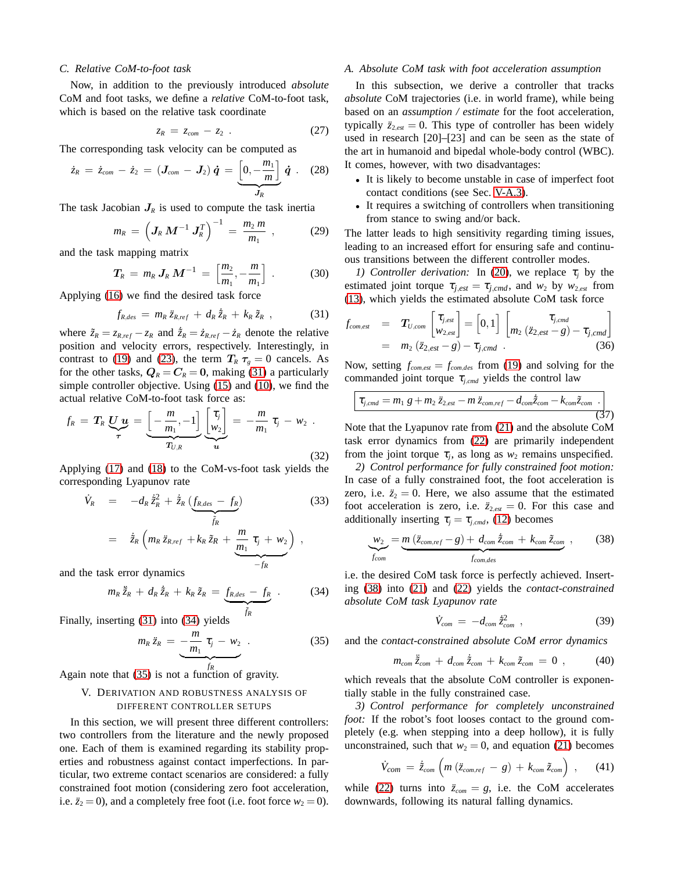## *C. Relative CoM-to-foot task*

Now, in addition to the previously introduced *absolute* CoM and foot tasks, we define a *relative* CoM-to-foot task, which is based on the relative task coordinate

$$
z_R = z_{com} - z_2 . \qquad (27)
$$

The corresponding task velocity can be computed as

$$
\dot{z}_R = \dot{z}_{com} - \dot{z}_2 = (\bm{J}_{com} - \bm{J}_2) \, \dot{\bm{q}} = \underbrace{\left[0, -\frac{m_1}{m}\right]}_{\bm{J}_R} \, \dot{\bm{q}} \ . \quad (28)
$$

The task Jacobian  $J_R$  is used to compute the task inertia

$$
m_R = \left( \mathbf{J}_R \, \mathbf{M}^{-1} \, \mathbf{J}_R^T \right)^{-1} = \frac{m_2 \, m}{m_1} \,, \tag{29}
$$

and the task mapping matrix

$$
T_R = m_R J_R M^{-1} = \left[\frac{m_2}{m_1}, -\frac{m}{m_1}\right]. \tag{30}
$$

Applying [\(16\)](#page-2-6) we find the desired task force

<span id="page-3-1"></span>
$$
f_{R,des} = m_R \ddot{z}_{R,ref} + d_R \dot{\tilde{z}}_R + k_R \tilde{z}_R , \qquad (31)
$$

where  $\tilde{z}_R = z_{R,ref} - z_R$  and  $\dot{\tilde{z}}_R = \dot{z}_{R,ref} - \dot{z}_R$  denote the relative position and velocity errors, respectively. Interestingly, in contrast to [\(19\)](#page-2-8) and [\(23\)](#page-2-9), the term  $T_R \tau_g = 0$  cancels. As for the other tasks,  $Q_R = C_R = 0$ , making [\(31\)](#page-3-1) a particularly simple controller objective. Using [\(15\)](#page-2-7) and [\(10\)](#page-1-7), we find the actual relative CoM-to-foot task force as:

<span id="page-3-7"></span>
$$
f_R = T_R \underbrace{U}{\tau} \underbrace{u}_{\tau} = \underbrace{\left[-\frac{m}{m_1}, -1\right]}_{T_{U,R}} \underbrace{\left[\begin{matrix} \tau_j \\ w_2 \right] \end{matrix}}_{u} = -\frac{m}{m_1} \tau_j - w_2 \tag{32}
$$

Applying [\(17\)](#page-2-4) and [\(18\)](#page-2-5) to the CoM-vs-foot task yields the corresponding Lyapunov rate

<span id="page-3-8"></span>
$$
\dot{V}_R = -d_R \dot{\tilde{z}}_R^2 + \dot{\tilde{z}}_R \underbrace{(f_{R,des} - f_R)}_{\tilde{f}_R}
$$
\n
$$
= \dot{\tilde{z}}_R \left( m_R \ddot{z}_{R,ref} + k_R \tilde{z}_R + \underbrace{m_1 \tau_j + w_2}_{-f_R} \right) ,
$$
\n
$$
(33)
$$

and the task error dynamics

<span id="page-3-2"></span>
$$
m_R \ddot{\tilde{z}}_R + d_R \dot{\tilde{z}}_R + k_R \tilde{z}_R = \underbrace{f_{R,des} - f_R}_{\tilde{f}_R} \ . \tag{34}
$$

Finally, inserting [\(31\)](#page-3-1) into [\(34\)](#page-3-2) yields

<span id="page-3-3"></span>
$$
m_R \ddot{z}_R = -\frac{m}{m_1} \tau_j - w_2 \tag{35}
$$

<span id="page-3-0"></span>Again note that [\(35\)](#page-3-3) is not a function of gravity.

# V. DERIVATION AND ROBUSTNESS ANALYSIS OF DIFFERENT CONTROLLER SETUPS

In this section, we will present three different controllers: two controllers from the literature and the newly proposed one. Each of them is examined regarding its stability properties and robustness against contact imperfections. In particular, two extreme contact scenarios are considered: a fully constrained foot motion (considering zero foot acceleration, i.e.  $\ddot{z}_2 = 0$ ), and a completely free foot (i.e. foot force  $w_2 = 0$ ).

## <span id="page-3-6"></span>*A. Absolute CoM task with foot acceleration assumption*

In this subsection, we derive a controller that tracks *absolute* CoM trajectories (i.e. in world frame), while being based on an *assumption / estimate* for the foot acceleration, typically  $\ddot{z}_{2,est} = 0$ . This type of controller has been widely used in research [20]–[23] and can be seen as the state of the art in humanoid and bipedal whole-body control (WBC). It comes, however, with two disadvantages:

- It is likely to become unstable in case of imperfect foot contact conditions (see Sec. [V-A.3\)](#page-3-4).
- It requires a switching of controllers when transitioning from stance to swing and/or back.

The latter leads to high sensitivity regarding timing issues, leading to an increased effort for ensuring safe and continuous transitions between the different controller modes.

*1) Controller derivation:* In [\(20\)](#page-2-10), we replace  $\tau_i$  by the estimated joint torque  $\tau_{i,est} = \tau_{i,cmd}$ , and  $w_2$  by  $w_{2,est}$  from [\(13\)](#page-1-8), which yields the estimated absolute CoM task force

$$
f_{com,est} = \mathbf{T}_{U,com} \begin{bmatrix} \tau_{j,est} \\ w_{2,est} \end{bmatrix} = \begin{bmatrix} 0,1 \end{bmatrix} \begin{bmatrix} \tau_{j,cmd} \\ m_2 \left( \ddot{z}_{2,est} - g \right) - \tau_{j,cmd} \end{bmatrix}
$$
  
=  $m_2 \left( \ddot{z}_{2,est} - g \right) - \tau_{j,cmd}$  (36)

Now, setting  $f_{com,est} = f_{com,des}$  from [\(19\)](#page-2-8) and solving for the commanded joint torque  $\tau_{j,cmd}$  yields the control law

$$
\tau_{j,cmd} = m_1 g + m_2 \ddot{z}_{2,est} - m \ddot{z}_{com,ref} - d_{com} \dot{\tilde{z}}_{com} - k_{com} \ddot{z}_{com} \tag{37}
$$

Note that the Lyapunov rate from [\(21\)](#page-2-11) and the absolute CoM task error dynamics from [\(22\)](#page-2-12) are primarily independent from the joint torque  $\tau_j$ , as long as  $w_2$  remains unspecified.

*2) Control performance for fully constrained foot motion:* In case of a fully constrained foot, the foot acceleration is zero, i.e.  $\ddot{z}_2 = 0$ . Here, we also assume that the estimated foot acceleration is zero, i.e.  $\ddot{z}_{2,est} = 0$ . For this case and additionally inserting  $\tau_i = \tau_{i,cmd}$ , [\(12\)](#page-1-6) becomes

<span id="page-3-5"></span>
$$
\underbrace{w_2}_{f_{com}} = \underbrace{m (\ddot{z}_{com,ref} - g) + d_{com} \dot{\tilde{z}}_{com} + k_{com} \tilde{z}_{com}}_{f_{com,des}} ,
$$
 (38)

i.e. the desired CoM task force is perfectly achieved. Inserting [\(38\)](#page-3-5) into [\(21\)](#page-2-11) and [\(22\)](#page-2-12) yields the *contact-constrained absolute CoM task Lyapunov rate*

$$
\dot{V}_{com} = -d_{com}\,\dot{\tilde{z}}_{com}^2 \,, \tag{39}
$$

and the *contact-constrained absolute CoM error dynamics*

$$
m_{com}\ddot{\tilde{z}}_{com} + d_{com}\dot{\tilde{z}}_{com} + k_{com}\tilde{z}_{com} = 0 , \qquad (40)
$$

which reveals that the absolute CoM controller is exponentially stable in the fully constrained case.

<span id="page-3-4"></span>*3) Control performance for completely unconstrained foot:* If the robot's foot looses contact to the ground completely (e.g. when stepping into a deep hollow), it is fully unconstrained, such that  $w_2 = 0$ , and equation [\(21\)](#page-2-11) becomes

$$
\dot{V}_{com} = \dot{\tilde{z}}_{com} \left( m \left( \ddot{z}_{com,ref} - g \right) + k_{com} \, \tilde{z}_{com} \right) , \qquad (41)
$$

while [\(22\)](#page-2-12) turns into  $\ddot{z}_{com} = g$ , i.e. the CoM accelerates downwards, following its natural falling dynamics.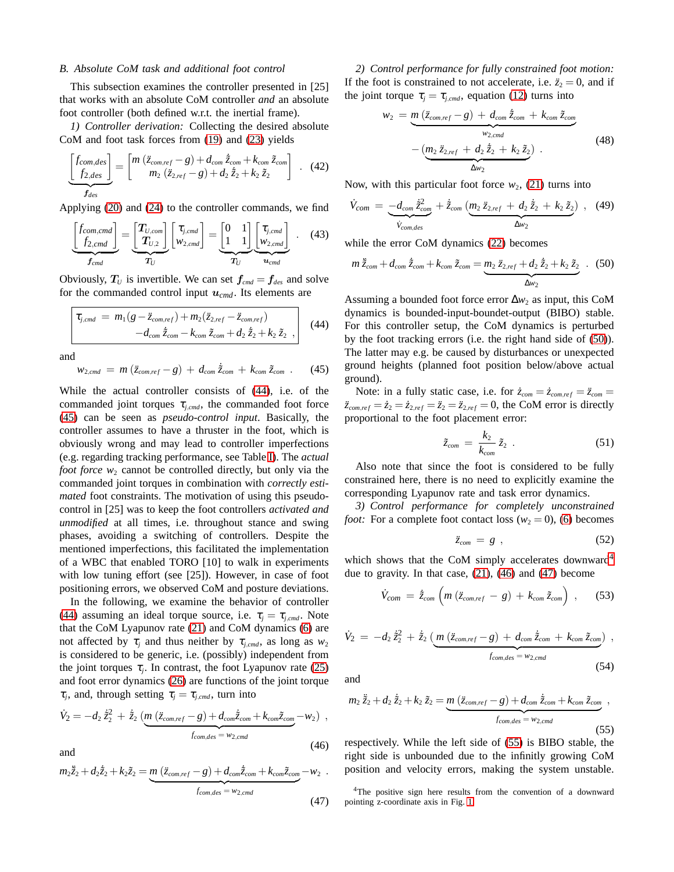## <span id="page-4-7"></span>*B. Absolute CoM task and additional foot control*

This subsection examines the controller presented in [25] that works with an absolute CoM controller *and* an absolute foot controller (both defined w.r.t. the inertial frame).

*1) Controller derivation:* Collecting the desired absolute CoM and foot task forces from [\(19\)](#page-2-8) and [\(23\)](#page-2-9) yields

$$
\frac{\begin{bmatrix}f_{com,des}\cr f_{2,des}\end{bmatrix}}{f_{des}} = \begin{bmatrix}m\left(\ddot{z}_{com,ref}-g\right)+d_{com}\dot{z}_{com}+k_{com}\tilde{z}_{com}\\m_2\left(\ddot{z}_{2,ref}-g\right)+d_2\dot{\tilde{z}}_2+k_2\tilde{z}_2\end{bmatrix} . (42)
$$

Applying [\(20\)](#page-2-10) and [\(24\)](#page-2-13) to the controller commands, we find

$$
\underbrace{\begin{bmatrix} f_{com,cmd} \\ f_{2,cmd} \end{bmatrix}}_{f_{cmd}} = \underbrace{\begin{bmatrix} T_{U,com} \\ T_{U,2} \end{bmatrix}}_{T_U} \begin{bmatrix} \tau_{j,cmd} \\ w_{2,cmd} \end{bmatrix} = \underbrace{\begin{bmatrix} 0 & 1 \\ 1 & 1 \end{bmatrix}}_{T_U} \underbrace{\begin{bmatrix} \tau_{j,cmd} \\ w_{2,cmd} \end{bmatrix}}_{w_{cmd}}.
$$
 (43)

Obviously,  $T_U$  is invertible. We can set  $f_{cmd} = f_{des}$  and solve for the commanded control input  $u_{cmd}$ . Its elements are

<span id="page-4-0"></span>
$$
\tau_{j,cmd} = m_1(g - \ddot{z}_{com,ref}) + m_2(\ddot{z}_{2,ref} - \ddot{z}_{com,ref}) - d_{com}\, \ddot{\tilde{z}}_{com} - k_{com}\, \tilde{z}_{com} + d_2\, \dot{\tilde{z}}_2 + k_2\, \tilde{z}_2 \tag{44}
$$

and

<span id="page-4-1"></span>
$$
w_{2,cmd} = m(\ddot{z}_{com,ref} - g) + d_{com} \dot{\tilde{z}}_{com} + k_{com} \tilde{z}_{com} .
$$
 (45)

While the actual controller consists of [\(44\)](#page-4-0), i.e. of the commanded joint torques  $\tau_{j,cmd}$ , the commanded foot force [\(45\)](#page-4-1) can be seen as *pseudo-control input*. Basically, the controller assumes to have a thruster in the foot, which is obviously wrong and may lead to controller imperfections (e.g. regarding tracking performance, see Table [I\)](#page-5-1). The *actual foot force*  $w_2$  cannot be controlled directly, but only via the commanded joint torques in combination with *correctly estimated* foot constraints. The motivation of using this pseudocontrol in [25] was to keep the foot controllers *activated and unmodified* at all times, i.e. throughout stance and swing phases, avoiding a switching of controllers. Despite the mentioned imperfections, this facilitated the implementation of a WBC that enabled TORO [10] to walk in experiments with low tuning effort (see [25]). However, in case of foot positioning errors, we observed CoM and posture deviations.

In the following, we examine the behavior of controller [\(44\)](#page-4-0) assuming an ideal torque source, i.e.  $\tau_i = \tau_{i,cmd}$ . Note that the CoM Lyapunov rate [\(21\)](#page-2-11) and CoM dynamics [\(6\)](#page-1-9) are not affected by  $\tau_i$  and thus neither by  $\tau_{i,cmd}$ , as long as  $w_2$ is considered to be generic, i.e. (possibly) independent from the joint torques  $\tau_j$ . In contrast, the foot Lyapunov rate [\(25\)](#page-2-14) and foot error dynamics [\(26\)](#page-2-15) are functions of the joint torque  $\tau_j$ , and, through setting  $\tau_j = \tau_{j,cmd}$ , turn into

<span id="page-4-4"></span>
$$
\dot{V}_2 = -d_2 \dot{\tilde{z}}_2^2 + \dot{\tilde{z}}_2 \left( \underbrace{m (\ddot{z}_{com,ref} - g) + d_{com} \dot{\tilde{z}}_{com} + k_{com} \tilde{z}_{com}}_{f_{com,des} = w_{2,cmd}} - w_2 \right) ,
$$
\nand (46)

<span id="page-4-5"></span>
$$
m_2\ddot{\tilde{z}}_2 + d_2\dot{\tilde{z}}_2 + k_2\tilde{z}_2 = \underbrace{m(\ddot{z}_{com,ref} - g) + d_{com}\dot{\tilde{z}}_{com} + k_{com}\tilde{z}_{com}}_{f_{com,des} = w_{2,cmd}} - w_2.
$$

(47)

*2) Control performance for fully constrained foot motion:* If the foot is constrained to not accelerate, i.e.  $\ddot{z}_2 = 0$ , and if the joint torque  $\tau_j = \tau_{j,cmd}$ , equation [\(12\)](#page-1-6) turns into

$$
w_2 = \underbrace{m (\ddot{z}_{com,ref} - g) + d_{com} \, \ddot{\tilde{z}}_{com} + k_{com} \, \tilde{z}_{com}}_{w_{2,cmd}}
$$
  
- 
$$
(\underbrace{m_2 \, \ddot{z}_{2,ref} + d_2 \, \dot{\tilde{z}}_2 + k_2 \, \tilde{z}_2}_{\Delta w_2}).
$$
 (48)

Now, with this particular foot force  $w_2$ , [\(21\)](#page-2-11) turns into

$$
\dot{V}_{com} = \underbrace{-d_{com}\,\dot{\tilde{z}}_{com}^2}_{\dot{V}_{com,des}} + \dot{\tilde{z}}_{com}\,\big(m_2\,\ddot{z}_{2,ref} + d_2\,\dot{\tilde{z}}_2 + k_2\,\tilde{z}_2\big)}_{\Delta w_2} \ , \quad (49)
$$

while the error CoM dynamics [\(22\)](#page-2-12) becomes

<span id="page-4-2"></span>
$$
m\,\ddot{\tilde{z}}_{com} + d_{com}\,\dot{\tilde{z}}_{com} + k_{com}\,\tilde{z}_{com} = \underbrace{m_2\,\ddot{z}_{2,ref} + d_2\,\dot{\tilde{z}}_2 + k_2\,\tilde{z}_2}_{\Delta w_2} \quad . \tag{50}
$$

Assuming a bounded foot force error Δ*w*<sub>2</sub> as input, this CoM dynamics is bounded-input-boundet-output (BIBO) stable. For this controller setup, the CoM dynamics is perturbed by the foot tracking errors (i.e. the right hand side of [\(50\)](#page-4-2)). The latter may e.g. be caused by disturbances or unexpected ground heights (planned foot position below/above actual ground).

Note: in a fully static case, i.e. for  $\dot{z}_{com} = \dot{z}_{com,ref} = \ddot{z}_{com}$  $\ddot{z}_{com,ref} = \dot{z}_2 = \dot{z}_{2,ref} = \ddot{z}_2 = \ddot{z}_{2,ref} = 0$ , the CoM error is directly proportional to the foot placement error:

$$
\tilde{z}_{com} = \frac{k_2}{k_{com}} \tilde{z}_2 \ . \tag{51}
$$

Also note that since the foot is considered to be fully constrained here, there is no need to explicitly examine the corresponding Lyapunov rate and task error dynamics.

*3) Control performance for completely unconstrained foot:* For a complete foot contact loss ( $w_2 = 0$ ), [\(6\)](#page-1-9) becomes

$$
\ddot{z}_{com} = g \quad , \tag{52}
$$

which shows that the CoM simply accelerates downward<sup>[4](#page-4-3)</sup> due to gravity. In that case, [\(21\)](#page-2-11), [\(46\)](#page-4-4) and [\(47\)](#page-4-5) become

$$
\dot{V}_{com} = \dot{\tilde{z}}_{com} \left( m \left( \ddot{z}_{com,ref} - g \right) + k_{com} \, \tilde{z}_{com} \right) \,, \qquad (53)
$$

$$
\dot{V}_2 = -d_2 \dot{z}_2^2 + \dot{\tilde{z}}_2 \left( \underbrace{m (\ddot{z}_{com,ref} - g) + d_{com} \, \dot{\tilde{z}}_{com} + k_{com} \, \tilde{z}_{com})}_{f_{com,des} = w_{2,cmd}} \,,
$$
\n(54)

and

<span id="page-4-6"></span>
$$
m_2 \ddot{\tilde{z}}_2 + d_2 \dot{\tilde{z}}_2 + k_2 \tilde{z}_2 = \underbrace{m (\ddot{z}_{com,ref} - g) + d_{com} \dot{\tilde{z}}_{com} + k_{com} \tilde{z}_{com}}_{f_{com,des} = w_{2,cmd}},
$$
\n(55)

respectively. While the left side of [\(55\)](#page-4-6) is BIBO stable, the right side is unbounded due to the infinitly growing CoM position and velocity errors, making the system unstable.

<span id="page-4-3"></span><sup>4</sup>The positive sign here results from the convention of a downward pointing z-coordinate axis in Fig. [1.](#page-0-0)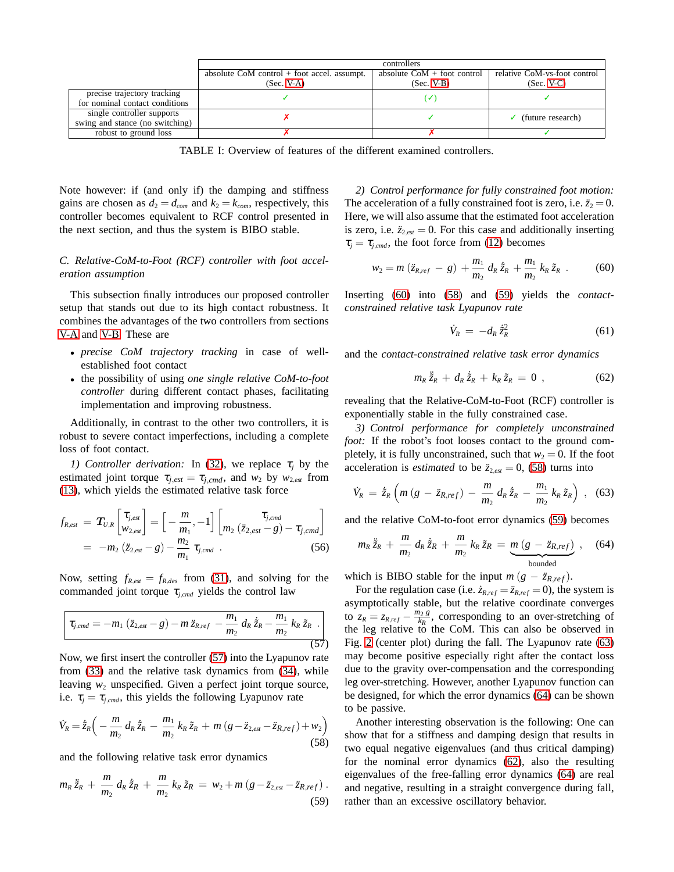<span id="page-5-1"></span>

|                                 | controllers                                   |                               |                                |
|---------------------------------|-----------------------------------------------|-------------------------------|--------------------------------|
|                                 | absolute $CoM$ control + foot accel. assumpt. | absolute $CoM + foot$ control | relative CoM-vs-foot control   |
|                                 | $(Sec. V-A)$                                  | $(Sec. V-B)$                  | $(Sec. V-C)$                   |
| precise trajectory tracking     |                                               | v                             |                                |
| for nominal contact conditions  |                                               |                               |                                |
| single controller supports      |                                               |                               | $\checkmark$ (future research) |
| swing and stance (no switching) |                                               |                               |                                |
| robust to ground loss           |                                               |                               |                                |

TABLE I: Overview of features of the different examined controllers.

Note however: if (and only if) the damping and stiffness gains are chosen as  $d_2 = d_{com}$  and  $k_2 = k_{com}$ , respectively, this controller becomes equivalent to RCF control presented in the next section, and thus the system is BIBO stable.

# <span id="page-5-0"></span>*C. Relative-CoM-to-Foot (RCF) controller with foot acceleration assumption*

This subsection finally introduces our proposed controller setup that stands out due to its high contact robustness. It combines the advantages of the two controllers from sections [V-A](#page-3-6) and [V-B.](#page-4-7) These are

- *precise CoM trajectory tracking* in case of wellestablished foot contact
- the possibility of using *one single relative CoM-to-foot controller* during different contact phases, facilitating implementation and improving robustness.

Additionally, in contrast to the other two controllers, it is robust to severe contact imperfections, including a complete loss of foot contact.

*1) Controller derivation:* In [\(32\)](#page-3-7), we replace  $\tau_i$  by the estimated joint torque  $\tau_{j,est} = \tau_{j,cmd}$ , and  $w_2$  by  $w_{2,est}$  from [\(13\)](#page-1-8), which yields the estimated relative task force

$$
f_{R,est} = T_{U,R} \begin{bmatrix} \tau_{j,est} \\ w_{2,est} \end{bmatrix} = \begin{bmatrix} -\frac{m}{m_1}, -1 \end{bmatrix} \begin{bmatrix} \tau_{j,cmd} \\ m_2 \ (\ddot{z}_{2,est} - g) - \tau_{j,cmd} \end{bmatrix}
$$
  
=  $-m_2 (\ddot{z}_{2,est} - g) - \frac{m_2}{m_1} \tau_{j,cmd}$ . (56)

Now, setting  $f_{R,est} = f_{R,des}$  from [\(31\)](#page-3-1), and solving for the commanded joint torque  $\tau_{i,cmd}$  yields the control law

<span id="page-5-2"></span>
$$
\boxed{\tau_{j,cmd}=-m_1\left(\ddot{z}_{2,est}-g\right)-m\,\ddot{z}_{R,ref}-\frac{m_1}{m_2}\,d_R\,\dot{\tilde{z}}_R-\frac{m_1}{m_2}\,k_R\,\tilde{z}_R\,.}
$$
\n(57)

Now, we first insert the controller [\(57\)](#page-5-2) into the Lyapunov rate from [\(33\)](#page-3-8) and the relative task dynamics from [\(34\)](#page-3-2), while leaving  $w_2$  unspecified. Given a perfect joint torque source, i.e.  $\tau_i = \tau_{i,cmd}$ , this yields the following Lyapunov rate

<span id="page-5-4"></span>
$$
\dot{V}_R = \dot{\tilde{z}}_R \left( -\frac{m}{m_2} \, d_R \, \dot{\tilde{z}}_R - \frac{m_1}{m_2} \, k_R \, \tilde{z}_R + m \left( g - \ddot{z}_{2,est} - \ddot{z}_{R,ref} \right) + w_2 \right) \tag{58}
$$

and the following relative task error dynamics

<span id="page-5-5"></span>
$$
m_{R}\ddot{\tilde{z}}_{R} + \frac{m}{m_{2}}d_{R}\dot{\tilde{z}}_{R} + \frac{m}{m_{2}}k_{R}\tilde{z}_{R} = w_{2} + m\left(g - \ddot{z}_{2,est} - \ddot{z}_{R,ref}\right).
$$
\n(59)

*2) Control performance for fully constrained foot motion:* The acceleration of a fully constrained foot is zero, i.e.  $\ddot{z}_2 = 0$ . Here, we will also assume that the estimated foot acceleration is zero, i.e.  $\ddot{z}_{2,est} = 0$ . For this case and additionally inserting  $\tau_i = \tau_{i,cmd}$ , the foot force from [\(12\)](#page-1-6) becomes

<span id="page-5-3"></span>
$$
w_2 = m\left(\ddot{z}_{R,ref} - g\right) + \frac{m_1}{m_2} d_R \dot{\tilde{z}}_R + \frac{m_1}{m_2} k_R \tilde{z}_R \ . \tag{60}
$$

Inserting [\(60\)](#page-5-3) into [\(58\)](#page-5-4) and [\(59\)](#page-5-5) yields the *contactconstrained relative task Lyapunov rate*

$$
\dot{V}_R = -d_R \dot{\tilde{z}}_R^2 \tag{61}
$$

and the *contact-constrained relative task error dynamics*

<span id="page-5-8"></span>
$$
m_R\,\ddot{\tilde z}_R\,+\,d_R\,\dot{\tilde z}_R\,+\,k_R\,\tilde z_R\,=\,0\,\,,\qquad \qquad (62)
$$

revealing that the Relative-CoM-to-Foot (RCF) controller is exponentially stable in the fully constrained case.

*3) Control performance for completely unconstrained foot:* If the robot's foot looses contact to the ground completely, it is fully unconstrained, such that  $w_2 = 0$ . If the foot acceleration is *estimated* to be  $\ddot{z}_{2,est} = 0$ , [\(58\)](#page-5-4) turns into

<span id="page-5-6"></span>
$$
\dot{V}_R = \dot{\tilde{z}}_R \left( m \left( g - \ddot{z}_{R,ref} \right) - \frac{m}{m_2} \, d_R \, \dot{\tilde{z}}_R - \frac{m_1}{m_2} \, k_R \, \tilde{z}_R \right) \; , \; (63)
$$

and the relative CoM-to-foot error dynamics [\(59\)](#page-5-5) becomes

<span id="page-5-7"></span>
$$
m_R \ddot{\tilde{z}}_R + \frac{m}{m_2} d_R \dot{\tilde{z}}_R + \frac{m}{m_2} k_R \tilde{z}_R = \underbrace{m (g - \ddot{z}_{R,ref})}_{\text{bounded}} , \quad (64)
$$

which is BIBO stable for the input  $m (g - \ddot{z}_{R,ref}).$ 

For the regulation case (i.e.  $\dot{z}_{R,ref} = \ddot{z}_{R,ref} = 0$ ), the system is asymptotically stable, but the relative coordinate converges to  $z_R = z_{R,ref} - \frac{m_2 g}{k_R}$ , corresponding to an over-stretching of the leg relative to the CoM. This can also be observed in Fig. [2](#page-6-3) (center plot) during the fall. The Lyapunov rate [\(63\)](#page-5-6) may become positive especially right after the contact loss due to the gravity over-compensation and the corresponding leg over-stretching. However, another Lyapunov function can be designed, for which the error dynamics [\(64\)](#page-5-7) can be shown to be passive.

Another interesting observation is the following: One can show that for a stiffness and damping design that results in two equal negative eigenvalues (and thus critical damping) for the nominal error dynamics [\(62\)](#page-5-8), also the resulting eigenvalues of the free-falling error dynamics [\(64\)](#page-5-7) are real and negative, resulting in a straight convergence during fall, rather than an excessive oscillatory behavior.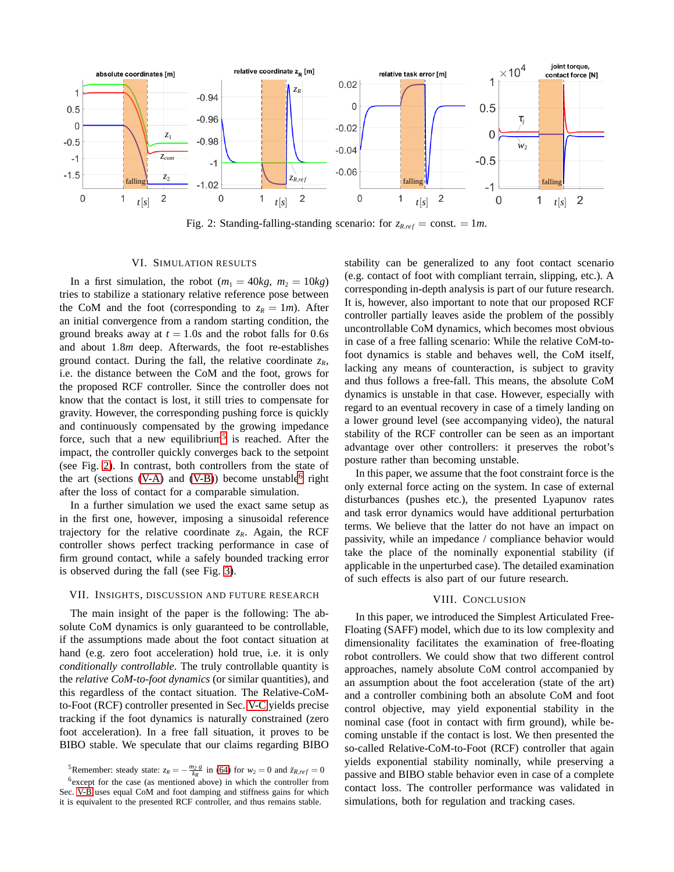<span id="page-6-3"></span>

Fig. 2: Standing-falling-standing scenario: for  $z_{R,ref} = \text{const.} = 1m$ .

#### VI. SIMULATION RESULTS

<span id="page-6-0"></span>In a first simulation, the robot  $(m_1 = 40kg, m_2 = 10kg)$ tries to stabilize a stationary relative reference pose between the CoM and the foot (corresponding to  $z_R = 1m$ ). After an initial convergence from a random starting condition, the ground breaks away at  $t = 1.0s$  and the robot falls for 0.6*s* and about 1.8*m* deep. Afterwards, the foot re-establishes ground contact. During the fall, the relative coordinate  $z_R$ , i.e. the distance between the CoM and the foot, grows for the proposed RCF controller. Since the controller does not know that the contact is lost, it still tries to compensate for gravity. However, the corresponding pushing force is quickly and continuously compensated by the growing impedance force, such that a new equilibrium<sup>[5](#page-6-4)</sup> is reached. After the impact, the controller quickly converges back to the setpoint (see Fig. [2\)](#page-6-3). In contrast, both controllers from the state of the art (sections [\(V-A\)](#page-3-6) and [\(V-B\)](#page-4-7)) become unstable  $6$  right after the loss of contact for a comparable simulation.

In a further simulation we used the exact same setup as in the first one, however, imposing a sinusoidal reference trajectory for the relative coordinate  $z_R$ . Again, the RCF controller shows perfect tracking performance in case of firm ground contact, while a safely bounded tracking error is observed during the fall (see Fig. [3\)](#page-7-0).

## <span id="page-6-1"></span>VII. INSIGHTS, DISCUSSION AND FUTURE RESEARCH

The main insight of the paper is the following: The absolute CoM dynamics is only guaranteed to be controllable, if the assumptions made about the foot contact situation at hand (e.g. zero foot acceleration) hold true, i.e. it is only *conditionally controllable*. The truly controllable quantity is the *relative CoM-to-foot dynamics* (or similar quantities), and this regardless of the contact situation. The Relative-CoMto-Foot (RCF) controller presented in Sec. [V-C](#page-5-0) yields precise tracking if the foot dynamics is naturally constrained (zero foot acceleration). In a free fall situation, it proves to be BIBO stable. We speculate that our claims regarding BIBO

stability can be generalized to any foot contact scenario (e.g. contact of foot with compliant terrain, slipping, etc.). A corresponding in-depth analysis is part of our future research. It is, however, also important to note that our proposed RCF controller partially leaves aside the problem of the possibly uncontrollable CoM dynamics, which becomes most obvious in case of a free falling scenario: While the relative CoM-tofoot dynamics is stable and behaves well, the CoM itself, lacking any means of counteraction, is subject to gravity and thus follows a free-fall. This means, the absolute CoM dynamics is unstable in that case. However, especially with regard to an eventual recovery in case of a timely landing on a lower ground level (see accompanying video), the natural stability of the RCF controller can be seen as an important advantage over other controllers: it preserves the robot's posture rather than becoming unstable.

In this paper, we assume that the foot constraint force is the only external force acting on the system. In case of external disturbances (pushes etc.), the presented Lyapunov rates and task error dynamics would have additional perturbation terms. We believe that the latter do not have an impact on passivity, while an impedance / compliance behavior would take the place of the nominally exponential stability (if applicable in the unperturbed case). The detailed examination of such effects is also part of our future research.

## VIII. CONCLUSION

<span id="page-6-2"></span>In this paper, we introduced the Simplest Articulated Free-Floating (SAFF) model, which due to its low complexity and dimensionality facilitates the examination of free-floating robot controllers. We could show that two different control approaches, namely absolute CoM control accompanied by an assumption about the foot acceleration (state of the art) and a controller combining both an absolute CoM and foot control objective, may yield exponential stability in the nominal case (foot in contact with firm ground), while becoming unstable if the contact is lost. We then presented the so-called Relative-CoM-to-Foot (RCF) controller that again yields exponential stability nominally, while preserving a passive and BIBO stable behavior even in case of a complete contact loss. The controller performance was validated in simulations, both for regulation and tracking cases.

<span id="page-6-4"></span><sup>5</sup>Remember: steady state:  $z_R = -\frac{m_2 g}{k_R}$  in [\(64\)](#page-5-7) for  $w_2 = 0$  and  $\ddot{z}_{R,ref} = 0$ 

<span id="page-6-5"></span><sup>&</sup>lt;sup>6</sup> except for the case (as mentioned above) in which the controller from Sec. [V-B](#page-4-7) uses equal CoM and foot damping and stiffness gains for which it is equivalent to the presented RCF controller, and thus remains stable.